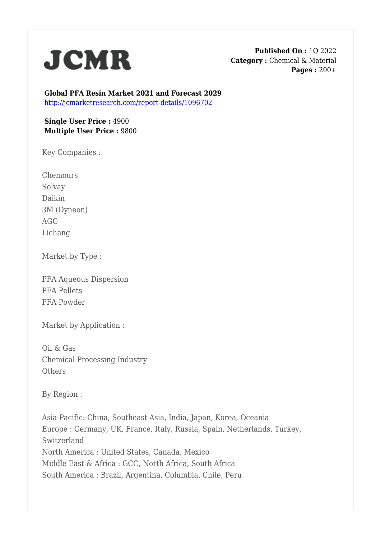

**Published On :** 1Q 2022 **Category :** Chemical & Material **Pages :** 200+

**Global PFA Resin Market 2021 and Forecast 2029** <http://jcmarketresearch.com/report-details/1096702>

## **Single User Price :** 4900 **Multiple User Price :** 9800

Key Companies :

**Chemours** Solvay Daikin 3M (Dyneon) AGC Lichang

Market by Type :

PFA Aqueous Dispersion PFA Pellets PFA Powder

Market by Application :

Oil & Gas Chemical Processing Industry **Others** 

By Region :

Asia-Pacific: China, Southeast Asia, India, Japan, Korea, Oceania Europe : Germany, UK, France, Italy, Russia, Spain, Netherlands, Turkey, Switzerland North America : United States, Canada, Mexico Middle East & Africa : GCC, North Africa, South Africa South America : Brazil, Argentina, Columbia, Chile, Peru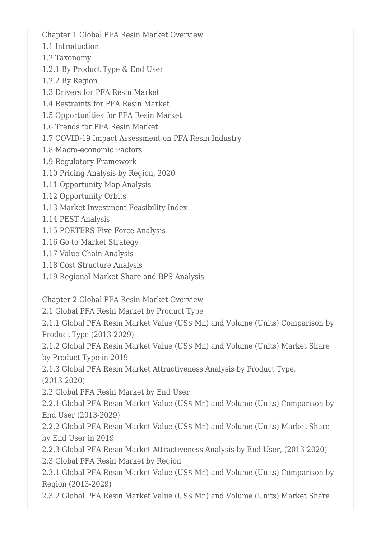Chapter 1 Global PFA Resin Market Overview

- 1.1 Introduction
- 1.2 Taxonomy
- 1.2.1 By Product Type & End User
- 1.2.2 By Region
- 1.3 Drivers for PFA Resin Market
- 1.4 Restraints for PFA Resin Market
- 1.5 Opportunities for PFA Resin Market
- 1.6 Trends for PFA Resin Market
- 1.7 COVID-19 Impact Assessment on PFA Resin Industry
- 1.8 Macro-economic Factors
- 1.9 Regulatory Framework
- 1.10 Pricing Analysis by Region, 2020
- 1.11 Opportunity Map Analysis
- 1.12 Opportunity Orbits
- 1.13 Market Investment Feasibility Index
- 1.14 PEST Analysis
- 1.15 PORTERS Five Force Analysis
- 1.16 Go to Market Strategy
- 1.17 Value Chain Analysis
- 1.18 Cost Structure Analysis
- 1.19 Regional Market Share and BPS Analysis

Chapter 2 Global PFA Resin Market Overview

2.1 Global PFA Resin Market by Product Type

2.1.1 Global PFA Resin Market Value (US\$ Mn) and Volume (Units) Comparison by Product Type (2013-2029)

2.1.2 Global PFA Resin Market Value (US\$ Mn) and Volume (Units) Market Share by Product Type in 2019

2.1.3 Global PFA Resin Market Attractiveness Analysis by Product Type, (2013-2020)

2.2 Global PFA Resin Market by End User

2.2.1 Global PFA Resin Market Value (US\$ Mn) and Volume (Units) Comparison by End User (2013-2029)

2.2.2 Global PFA Resin Market Value (US\$ Mn) and Volume (Units) Market Share by End User in 2019

2.2.3 Global PFA Resin Market Attractiveness Analysis by End User, (2013-2020) 2.3 Global PFA Resin Market by Region

2.3.1 Global PFA Resin Market Value (US\$ Mn) and Volume (Units) Comparison by Region (2013-2029)

2.3.2 Global PFA Resin Market Value (US\$ Mn) and Volume (Units) Market Share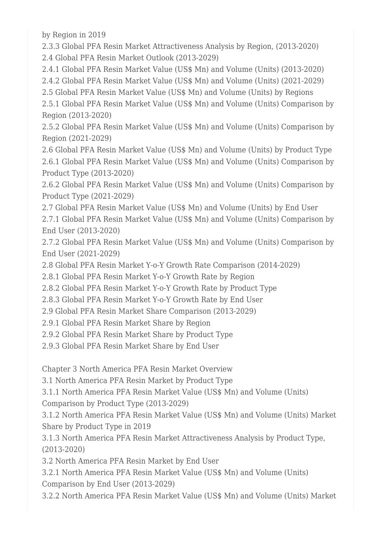by Region in 2019

2.3.3 Global PFA Resin Market Attractiveness Analysis by Region, (2013-2020) 2.4 Global PFA Resin Market Outlook (2013-2029)

2.4.1 Global PFA Resin Market Value (US\$ Mn) and Volume (Units) (2013-2020)

2.4.2 Global PFA Resin Market Value (US\$ Mn) and Volume (Units) (2021-2029)

2.5 Global PFA Resin Market Value (US\$ Mn) and Volume (Units) by Regions

2.5.1 Global PFA Resin Market Value (US\$ Mn) and Volume (Units) Comparison by Region (2013-2020)

2.5.2 Global PFA Resin Market Value (US\$ Mn) and Volume (Units) Comparison by Region (2021-2029)

2.6 Global PFA Resin Market Value (US\$ Mn) and Volume (Units) by Product Type 2.6.1 Global PFA Resin Market Value (US\$ Mn) and Volume (Units) Comparison by Product Type (2013-2020)

2.6.2 Global PFA Resin Market Value (US\$ Mn) and Volume (Units) Comparison by Product Type (2021-2029)

2.7 Global PFA Resin Market Value (US\$ Mn) and Volume (Units) by End User

2.7.1 Global PFA Resin Market Value (US\$ Mn) and Volume (Units) Comparison by End User (2013-2020)

2.7.2 Global PFA Resin Market Value (US\$ Mn) and Volume (Units) Comparison by End User (2021-2029)

2.8 Global PFA Resin Market Y-o-Y Growth Rate Comparison (2014-2029)

2.8.1 Global PFA Resin Market Y-o-Y Growth Rate by Region

2.8.2 Global PFA Resin Market Y-o-Y Growth Rate by Product Type

2.8.3 Global PFA Resin Market Y-o-Y Growth Rate by End User

2.9 Global PFA Resin Market Share Comparison (2013-2029)

2.9.1 Global PFA Resin Market Share by Region

2.9.2 Global PFA Resin Market Share by Product Type

2.9.3 Global PFA Resin Market Share by End User

Chapter 3 North America PFA Resin Market Overview

3.1 North America PFA Resin Market by Product Type

3.1.1 North America PFA Resin Market Value (US\$ Mn) and Volume (Units)

Comparison by Product Type (2013-2029)

3.1.2 North America PFA Resin Market Value (US\$ Mn) and Volume (Units) Market Share by Product Type in 2019

3.1.3 North America PFA Resin Market Attractiveness Analysis by Product Type, (2013-2020)

3.2 North America PFA Resin Market by End User

3.2.1 North America PFA Resin Market Value (US\$ Mn) and Volume (Units) Comparison by End User (2013-2029)

3.2.2 North America PFA Resin Market Value (US\$ Mn) and Volume (Units) Market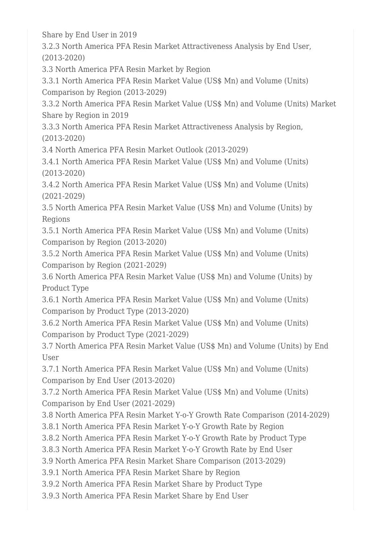Share by End User in 2019

3.2.3 North America PFA Resin Market Attractiveness Analysis by End User, (2013-2020)

3.3 North America PFA Resin Market by Region

3.3.1 North America PFA Resin Market Value (US\$ Mn) and Volume (Units) Comparison by Region (2013-2029)

3.3.2 North America PFA Resin Market Value (US\$ Mn) and Volume (Units) Market Share by Region in 2019

3.3.3 North America PFA Resin Market Attractiveness Analysis by Region, (2013-2020)

3.4 North America PFA Resin Market Outlook (2013-2029)

3.4.1 North America PFA Resin Market Value (US\$ Mn) and Volume (Units) (2013-2020)

3.4.2 North America PFA Resin Market Value (US\$ Mn) and Volume (Units) (2021-2029)

3.5 North America PFA Resin Market Value (US\$ Mn) and Volume (Units) by Regions

3.5.1 North America PFA Resin Market Value (US\$ Mn) and Volume (Units) Comparison by Region (2013-2020)

3.5.2 North America PFA Resin Market Value (US\$ Mn) and Volume (Units) Comparison by Region (2021-2029)

3.6 North America PFA Resin Market Value (US\$ Mn) and Volume (Units) by Product Type

3.6.1 North America PFA Resin Market Value (US\$ Mn) and Volume (Units) Comparison by Product Type (2013-2020)

3.6.2 North America PFA Resin Market Value (US\$ Mn) and Volume (Units) Comparison by Product Type (2021-2029)

3.7 North America PFA Resin Market Value (US\$ Mn) and Volume (Units) by End User

3.7.1 North America PFA Resin Market Value (US\$ Mn) and Volume (Units) Comparison by End User (2013-2020)

3.7.2 North America PFA Resin Market Value (US\$ Mn) and Volume (Units) Comparison by End User (2021-2029)

3.8 North America PFA Resin Market Y-o-Y Growth Rate Comparison (2014-2029)

3.8.1 North America PFA Resin Market Y-o-Y Growth Rate by Region

3.8.2 North America PFA Resin Market Y-o-Y Growth Rate by Product Type

3.8.3 North America PFA Resin Market Y-o-Y Growth Rate by End User

3.9 North America PFA Resin Market Share Comparison (2013-2029)

3.9.1 North America PFA Resin Market Share by Region

3.9.2 North America PFA Resin Market Share by Product Type

3.9.3 North America PFA Resin Market Share by End User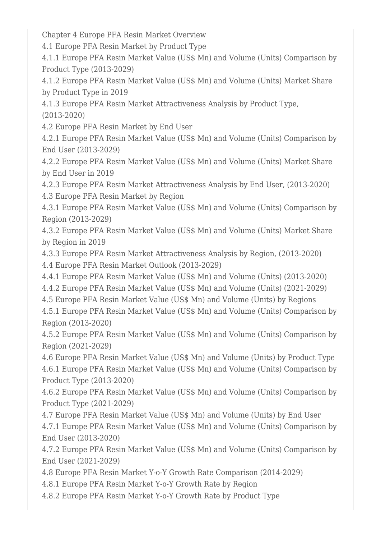Chapter 4 Europe PFA Resin Market Overview

4.1 Europe PFA Resin Market by Product Type

4.1.1 Europe PFA Resin Market Value (US\$ Mn) and Volume (Units) Comparison by Product Type (2013-2029)

4.1.2 Europe PFA Resin Market Value (US\$ Mn) and Volume (Units) Market Share by Product Type in 2019

4.1.3 Europe PFA Resin Market Attractiveness Analysis by Product Type, (2013-2020)

4.2 Europe PFA Resin Market by End User

4.2.1 Europe PFA Resin Market Value (US\$ Mn) and Volume (Units) Comparison by End User (2013-2029)

4.2.2 Europe PFA Resin Market Value (US\$ Mn) and Volume (Units) Market Share by End User in 2019

4.2.3 Europe PFA Resin Market Attractiveness Analysis by End User, (2013-2020)

4.3 Europe PFA Resin Market by Region

4.3.1 Europe PFA Resin Market Value (US\$ Mn) and Volume (Units) Comparison by Region (2013-2029)

4.3.2 Europe PFA Resin Market Value (US\$ Mn) and Volume (Units) Market Share by Region in 2019

4.3.3 Europe PFA Resin Market Attractiveness Analysis by Region, (2013-2020) 4.4 Europe PFA Resin Market Outlook (2013-2029)

4.4.1 Europe PFA Resin Market Value (US\$ Mn) and Volume (Units) (2013-2020)

4.4.2 Europe PFA Resin Market Value (US\$ Mn) and Volume (Units) (2021-2029)

4.5 Europe PFA Resin Market Value (US\$ Mn) and Volume (Units) by Regions

4.5.1 Europe PFA Resin Market Value (US\$ Mn) and Volume (Units) Comparison by Region (2013-2020)

4.5.2 Europe PFA Resin Market Value (US\$ Mn) and Volume (Units) Comparison by Region (2021-2029)

4.6 Europe PFA Resin Market Value (US\$ Mn) and Volume (Units) by Product Type 4.6.1 Europe PFA Resin Market Value (US\$ Mn) and Volume (Units) Comparison by Product Type (2013-2020)

4.6.2 Europe PFA Resin Market Value (US\$ Mn) and Volume (Units) Comparison by Product Type (2021-2029)

4.7 Europe PFA Resin Market Value (US\$ Mn) and Volume (Units) by End User

4.7.1 Europe PFA Resin Market Value (US\$ Mn) and Volume (Units) Comparison by End User (2013-2020)

4.7.2 Europe PFA Resin Market Value (US\$ Mn) and Volume (Units) Comparison by End User (2021-2029)

4.8 Europe PFA Resin Market Y-o-Y Growth Rate Comparison (2014-2029)

4.8.1 Europe PFA Resin Market Y-o-Y Growth Rate by Region

4.8.2 Europe PFA Resin Market Y-o-Y Growth Rate by Product Type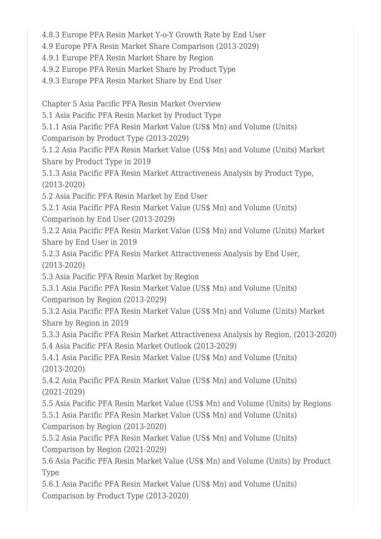4.8.3 Europe PFA Resin Market Y-o-Y Growth Rate by End User

4.9 Europe PFA Resin Market Share Comparison (2013-2029)

4.9.1 Europe PFA Resin Market Share by Region

4.9.2 Europe PFA Resin Market Share by Product Type

4.9.3 Europe PFA Resin Market Share by End User

Chapter 5 Asia Pacific PFA Resin Market Overview

5.1 Asia Pacific PFA Resin Market by Product Type

5.1.1 Asia Pacific PFA Resin Market Value (US\$ Mn) and Volume (Units)

Comparison by Product Type (2013-2029)

5.1.2 Asia Pacific PFA Resin Market Value (US\$ Mn) and Volume (Units) Market Share by Product Type in 2019

5.1.3 Asia Pacific PFA Resin Market Attractiveness Analysis by Product Type, (2013-2020)

5.2 Asia Pacific PFA Resin Market by End User

5.2.1 Asia Pacific PFA Resin Market Value (US\$ Mn) and Volume (Units) Comparison by End User (2013-2029)

5.2.2 Asia Pacific PFA Resin Market Value (US\$ Mn) and Volume (Units) Market Share by End User in 2019

5.2.3 Asia Pacific PFA Resin Market Attractiveness Analysis by End User, (2013-2020)

5.3 Asia Pacific PFA Resin Market by Region

5.3.1 Asia Pacific PFA Resin Market Value (US\$ Mn) and Volume (Units) Comparison by Region (2013-2029)

5.3.2 Asia Pacific PFA Resin Market Value (US\$ Mn) and Volume (Units) Market Share by Region in 2019

5.3.3 Asia Pacific PFA Resin Market Attractiveness Analysis by Region, (2013-2020) 5.4 Asia Pacific PFA Resin Market Outlook (2013-2029)

5.4.1 Asia Pacific PFA Resin Market Value (US\$ Mn) and Volume (Units) (2013-2020)

5.4.2 Asia Pacific PFA Resin Market Value (US\$ Mn) and Volume (Units) (2021-2029)

5.5 Asia Pacific PFA Resin Market Value (US\$ Mn) and Volume (Units) by Regions 5.5.1 Asia Pacific PFA Resin Market Value (US\$ Mn) and Volume (Units) Comparison by Region (2013-2020)

5.5.2 Asia Pacific PFA Resin Market Value (US\$ Mn) and Volume (Units) Comparison by Region (2021-2029)

5.6 Asia Pacific PFA Resin Market Value (US\$ Mn) and Volume (Units) by Product Type

5.6.1 Asia Pacific PFA Resin Market Value (US\$ Mn) and Volume (Units) Comparison by Product Type (2013-2020)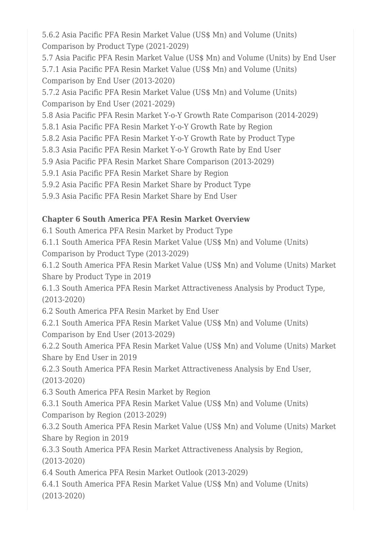5.6.2 Asia Pacific PFA Resin Market Value (US\$ Mn) and Volume (Units) Comparison by Product Type (2021-2029)

5.7 Asia Pacific PFA Resin Market Value (US\$ Mn) and Volume (Units) by End User 5.7.1 Asia Pacific PFA Resin Market Value (US\$ Mn) and Volume (Units) Comparison by End User (2013-2020)

5.7.2 Asia Pacific PFA Resin Market Value (US\$ Mn) and Volume (Units) Comparison by End User (2021-2029)

5.8 Asia Pacific PFA Resin Market Y-o-Y Growth Rate Comparison (2014-2029)

5.8.1 Asia Pacific PFA Resin Market Y-o-Y Growth Rate by Region

5.8.2 Asia Pacific PFA Resin Market Y-o-Y Growth Rate by Product Type

5.8.3 Asia Pacific PFA Resin Market Y-o-Y Growth Rate by End User

5.9 Asia Pacific PFA Resin Market Share Comparison (2013-2029)

5.9.1 Asia Pacific PFA Resin Market Share by Region

5.9.2 Asia Pacific PFA Resin Market Share by Product Type

5.9.3 Asia Pacific PFA Resin Market Share by End User

## **Chapter 6 South America PFA Resin Market Overview**

6.1 South America PFA Resin Market by Product Type

6.1.1 South America PFA Resin Market Value (US\$ Mn) and Volume (Units) Comparison by Product Type (2013-2029)

6.1.2 South America PFA Resin Market Value (US\$ Mn) and Volume (Units) Market Share by Product Type in 2019

6.1.3 South America PFA Resin Market Attractiveness Analysis by Product Type, (2013-2020)

6.2 South America PFA Resin Market by End User

6.2.1 South America PFA Resin Market Value (US\$ Mn) and Volume (Units) Comparison by End User (2013-2029)

6.2.2 South America PFA Resin Market Value (US\$ Mn) and Volume (Units) Market Share by End User in 2019

6.2.3 South America PFA Resin Market Attractiveness Analysis by End User, (2013-2020)

6.3 South America PFA Resin Market by Region

6.3.1 South America PFA Resin Market Value (US\$ Mn) and Volume (Units) Comparison by Region (2013-2029)

6.3.2 South America PFA Resin Market Value (US\$ Mn) and Volume (Units) Market Share by Region in 2019

6.3.3 South America PFA Resin Market Attractiveness Analysis by Region, (2013-2020)

6.4 South America PFA Resin Market Outlook (2013-2029)

6.4.1 South America PFA Resin Market Value (US\$ Mn) and Volume (Units) (2013-2020)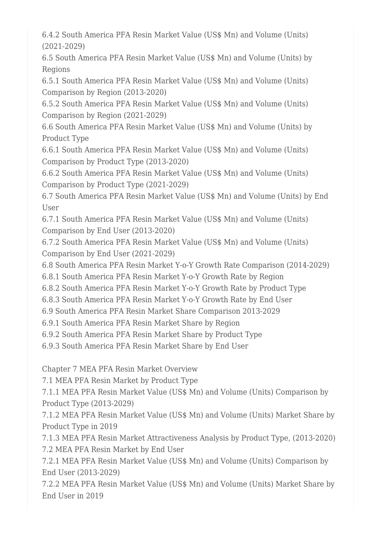6.4.2 South America PFA Resin Market Value (US\$ Mn) and Volume (Units) (2021-2029)

6.5 South America PFA Resin Market Value (US\$ Mn) and Volume (Units) by Regions

6.5.1 South America PFA Resin Market Value (US\$ Mn) and Volume (Units) Comparison by Region (2013-2020)

6.5.2 South America PFA Resin Market Value (US\$ Mn) and Volume (Units) Comparison by Region (2021-2029)

6.6 South America PFA Resin Market Value (US\$ Mn) and Volume (Units) by Product Type

6.6.1 South America PFA Resin Market Value (US\$ Mn) and Volume (Units) Comparison by Product Type (2013-2020)

6.6.2 South America PFA Resin Market Value (US\$ Mn) and Volume (Units) Comparison by Product Type (2021-2029)

6.7 South America PFA Resin Market Value (US\$ Mn) and Volume (Units) by End User

6.7.1 South America PFA Resin Market Value (US\$ Mn) and Volume (Units) Comparison by End User (2013-2020)

6.7.2 South America PFA Resin Market Value (US\$ Mn) and Volume (Units) Comparison by End User (2021-2029)

6.8 South America PFA Resin Market Y-o-Y Growth Rate Comparison (2014-2029)

6.8.1 South America PFA Resin Market Y-o-Y Growth Rate by Region

6.8.2 South America PFA Resin Market Y-o-Y Growth Rate by Product Type

6.8.3 South America PFA Resin Market Y-o-Y Growth Rate by End User

6.9 South America PFA Resin Market Share Comparison 2013-2029

6.9.1 South America PFA Resin Market Share by Region

6.9.2 South America PFA Resin Market Share by Product Type

6.9.3 South America PFA Resin Market Share by End User

Chapter 7 MEA PFA Resin Market Overview

7.1 MEA PFA Resin Market by Product Type

7.1.1 MEA PFA Resin Market Value (US\$ Mn) and Volume (Units) Comparison by Product Type (2013-2029)

7.1.2 MEA PFA Resin Market Value (US\$ Mn) and Volume (Units) Market Share by Product Type in 2019

7.1.3 MEA PFA Resin Market Attractiveness Analysis by Product Type, (2013-2020) 7.2 MEA PFA Resin Market by End User

7.2.1 MEA PFA Resin Market Value (US\$ Mn) and Volume (Units) Comparison by End User (2013-2029)

7.2.2 MEA PFA Resin Market Value (US\$ Mn) and Volume (Units) Market Share by End User in 2019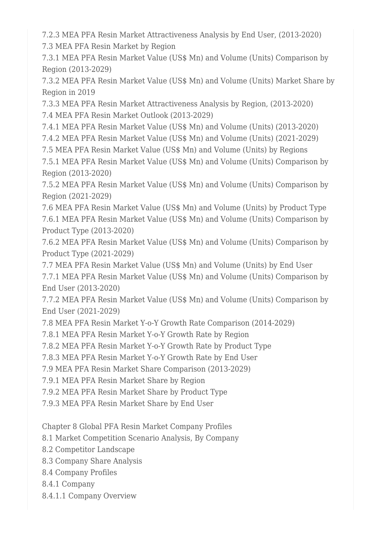7.2.3 MEA PFA Resin Market Attractiveness Analysis by End User, (2013-2020) 7.3 MEA PFA Resin Market by Region

7.3.1 MEA PFA Resin Market Value (US\$ Mn) and Volume (Units) Comparison by Region (2013-2029)

7.3.2 MEA PFA Resin Market Value (US\$ Mn) and Volume (Units) Market Share by Region in 2019

7.3.3 MEA PFA Resin Market Attractiveness Analysis by Region, (2013-2020) 7.4 MEA PFA Resin Market Outlook (2013-2029)

7.4.1 MEA PFA Resin Market Value (US\$ Mn) and Volume (Units) (2013-2020)

7.4.2 MEA PFA Resin Market Value (US\$ Mn) and Volume (Units) (2021-2029)

7.5 MEA PFA Resin Market Value (US\$ Mn) and Volume (Units) by Regions

7.5.1 MEA PFA Resin Market Value (US\$ Mn) and Volume (Units) Comparison by Region (2013-2020)

7.5.2 MEA PFA Resin Market Value (US\$ Mn) and Volume (Units) Comparison by Region (2021-2029)

7.6 MEA PFA Resin Market Value (US\$ Mn) and Volume (Units) by Product Type 7.6.1 MEA PFA Resin Market Value (US\$ Mn) and Volume (Units) Comparison by Product Type (2013-2020)

7.6.2 MEA PFA Resin Market Value (US\$ Mn) and Volume (Units) Comparison by Product Type (2021-2029)

7.7 MEA PFA Resin Market Value (US\$ Mn) and Volume (Units) by End User 7.7.1 MEA PFA Resin Market Value (US\$ Mn) and Volume (Units) Comparison by End User (2013-2020)

7.7.2 MEA PFA Resin Market Value (US\$ Mn) and Volume (Units) Comparison by End User (2021-2029)

7.8 MEA PFA Resin Market Y-o-Y Growth Rate Comparison (2014-2029)

7.8.1 MEA PFA Resin Market Y-o-Y Growth Rate by Region

7.8.2 MEA PFA Resin Market Y-o-Y Growth Rate by Product Type

7.8.3 MEA PFA Resin Market Y-o-Y Growth Rate by End User

7.9 MEA PFA Resin Market Share Comparison (2013-2029)

7.9.1 MEA PFA Resin Market Share by Region

7.9.2 MEA PFA Resin Market Share by Product Type

7.9.3 MEA PFA Resin Market Share by End User

Chapter 8 Global PFA Resin Market Company Profiles

8.1 Market Competition Scenario Analysis, By Company

8.2 Competitor Landscape

8.3 Company Share Analysis

8.4 Company Profiles

8.4.1 Company

8.4.1.1 Company Overview